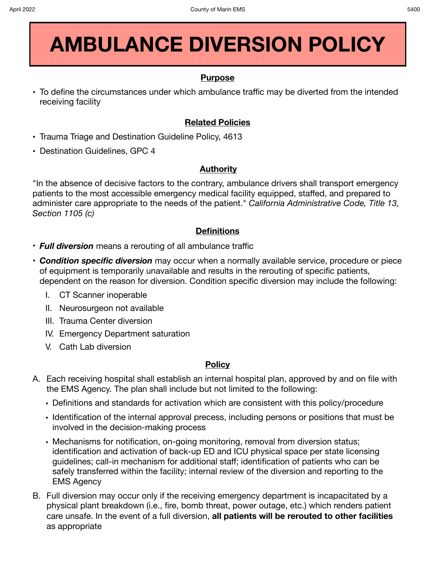# **AMBULANCE DIVERSION POLICY**

#### **Purpose**

**•** To define the circumstances under which ambulance traffic may be diverted from the intended receiving facility

## **Related Policies**

- **•** Trauma Triage and Destination Guideline Policy, 4613
- **•** Destination Guidelines, GPC 4

## **Authority**

"In the absence of decisive factors to the contrary, ambulance drivers shall transport emergency patients to the most accessible emergency medical facility equipped, staffed, and prepared to administer care appropriate to the needs of the patient." *California Administrative Code, Title 13, Section 1105 (c)* 

#### **Definitions**

- *Full diversion* means a rerouting of all ambulance traffic
- *Condition specific diversion* may occur when a normally available service, procedure or piece of equipment is temporarily unavailable and results in the rerouting of specific patients, dependent on the reason for diversion. Condition specific diversion may include the following:
	- I. CT Scanner inoperable
	- II. Neurosurgeon not available
	- III. Trauma Center diversion
	- IV. Emergency Department saturation
	- V. Cath Lab diversion

#### **Policy**

- A. Each receiving hospital shall establish an internal hospital plan, approved by and on file with the EMS Agency. The plan shall include but not limited to the following:
	- Definitions and standards for activation which are consistent with this policy/procedure
	- Identification of the internal approval precess, including persons or positions that must be involved in the decision-making process
	- Mechanisms for notification, on-going monitoring, removal from diversion status; identification and activation of back-up ED and ICU physical space per state licensing guidelines; call-in mechanism for additional staff; identification of patients who can be safely transferred within the facility; internal review of the diversion and reporting to the EMS Agency
- B. Full diversion may occur only if the receiving emergency department is incapacitated by a physical plant breakdown (i.e., fire, bomb threat, power outage, etc.) which renders patient care unsafe. In the event of a full diversion, **all patients will be rerouted to other facilities**  as appropriate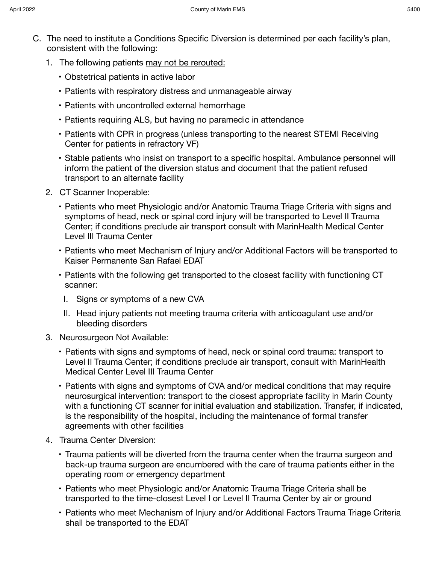- C. The need to institute a Conditions Specific Diversion is determined per each facility's plan, consistent with the following:
	- 1. The following patients may not be rerouted:
		- Obstetrical patients in active labor
		- Patients with respiratory distress and unmanageable airway
		- Patients with uncontrolled external hemorrhage
		- Patients requiring ALS, but having no paramedic in attendance
		- Patients with CPR in progress (unless transporting to the nearest STEMI Receiving Center for patients in refractory VF)
		- Stable patients who insist on transport to a specific hospital. Ambulance personnel will inform the patient of the diversion status and document that the patient refused transport to an alternate facility
	- 2. CT Scanner Inoperable:
		- Patients who meet Physiologic and/or Anatomic Trauma Triage Criteria with signs and symptoms of head, neck or spinal cord injury will be transported to Level II Trauma Center; if conditions preclude air transport consult with MarinHealth Medical Center Level III Trauma Center
		- Patients who meet Mechanism of Injury and/or Additional Factors will be transported to Kaiser Permanente San Rafael EDAT
		- Patients with the following get transported to the closest facility with functioning CT scanner:
			- I. Signs or symptoms of a new CVA
			- II. Head injury patients not meeting trauma criteria with anticoagulant use and/or bleeding disorders
	- 3. Neurosurgeon Not Available:
		- Patients with signs and symptoms of head, neck or spinal cord trauma: transport to Level II Trauma Center; if conditions preclude air transport, consult with MarinHealth Medical Center Level III Trauma Center
		- Patients with signs and symptoms of CVA and/or medical conditions that may require neurosurgical intervention: transport to the closest appropriate facility in Marin County with a functioning CT scanner for initial evaluation and stabilization. Transfer, if indicated, is the responsibility of the hospital, including the maintenance of formal transfer agreements with other facilities
	- 4. Trauma Center Diversion:
		- Trauma patients will be diverted from the trauma center when the trauma surgeon and back-up trauma surgeon are encumbered with the care of trauma patients either in the operating room or emergency department
		- Patients who meet Physiologic and/or Anatomic Trauma Triage Criteria shall be transported to the time-closest Level I or Level II Trauma Center by air or ground
		- Patients who meet Mechanism of Injury and/or Additional Factors Trauma Triage Criteria shall be transported to the EDAT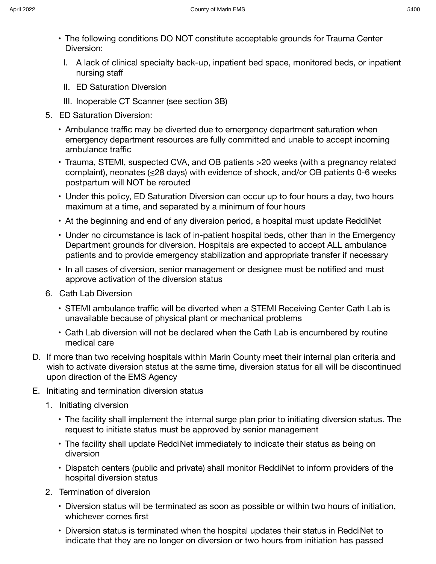- 
- The following conditions DO NOT constitute acceptable grounds for Trauma Center Diversion:
- I. A lack of clinical specialty back-up, inpatient bed space, monitored beds, or inpatient nursing staff
- II. ED Saturation Diversion
- III. Inoperable CT Scanner (see section 3B)
- 5. ED Saturation Diversion:
	- Ambulance traffic may be diverted due to emergency department saturation when emergency department resources are fully committed and unable to accept incoming ambulance traffic
	- Trauma, STEMI, suspected CVA, and OB patients >20 weeks (with a pregnancy related complaint), neonates (≤28 days) with evidence of shock, and/or OB patients 0-6 weeks postpartum will NOT be rerouted
	- Under this policy, ED Saturation Diversion can occur up to four hours a day, two hours maximum at a time, and separated by a minimum of four hours
	- At the beginning and end of any diversion period, a hospital must update ReddiNet
	- Under no circumstance is lack of in-patient hospital beds, other than in the Emergency Department grounds for diversion. Hospitals are expected to accept ALL ambulance patients and to provide emergency stabilization and appropriate transfer if necessary
	- In all cases of diversion, senior management or designee must be notified and must approve activation of the diversion status
- 6. Cath Lab Diversion
	- STEMI ambulance traffic will be diverted when a STEMI Receiving Center Cath Lab is unavailable because of physical plant or mechanical problems
	- Cath Lab diversion will not be declared when the Cath Lab is encumbered by routine medical care
- D. If more than two receiving hospitals within Marin County meet their internal plan criteria and wish to activate diversion status at the same time, diversion status for all will be discontinued upon direction of the EMS Agency
- E. Initiating and termination diversion status
	- 1. Initiating diversion
		- The facility shall implement the internal surge plan prior to initiating diversion status. The request to initiate status must be approved by senior management
		- The facility shall update ReddiNet immediately to indicate their status as being on diversion
		- Dispatch centers (public and private) shall monitor ReddiNet to inform providers of the hospital diversion status
	- 2. Termination of diversion
		- Diversion status will be terminated as soon as possible or within two hours of initiation, whichever comes first
		- Diversion status is terminated when the hospital updates their status in ReddiNet to indicate that they are no longer on diversion or two hours from initiation has passed